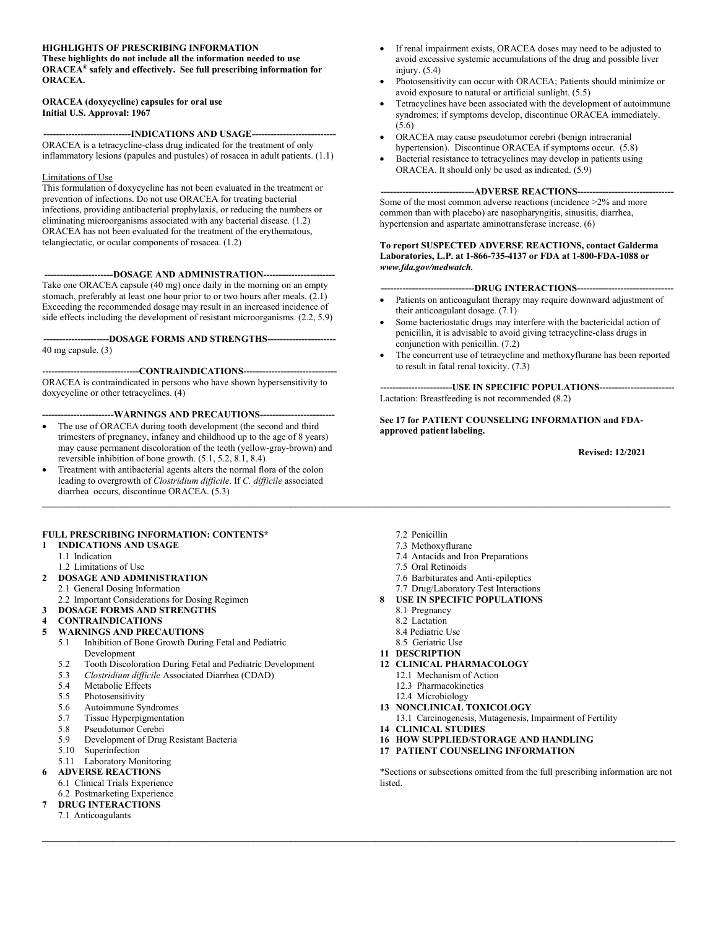# **HIGHLIGHTS OF PRESCRIBING INFORMATION**

**These highlights do not include all the information needed to use ORACEA® safely and effectively. See full prescribing information for ORACEA.** 

#### **ORACEA (doxycycline) capsules for oral use Initial U.S. Approval: 1967**

**---INDICATIONS AND USAGE---**ORACEA is a tetracycline-class drug indicated for the treatment of only inflammatory lesions (papules and pustules) of rosacea in adult patients. (1.1)

### Limitations of Use

This formulation of doxycycline has not been evaluated in the treatment or prevention of infections. Do not use ORACEA for treating bacterial infections, providing antibacterial prophylaxis, or reducing the numbers or eliminating microorganisms associated with any bacterial disease. (1.2) ORACEA has not been evaluated for the treatment of the erythematous, telangiectatic, or ocular components of rosacea. (1.2)

----DOSAGE AND ADMINISTRATION---Take one ORACEA capsule (40 mg) once daily in the morning on an empty stomach, preferably at least one hour prior to or two hours after meals. (2.1) Exceeding the recommended dosage may result in an increased incidence of side effects including the development of resistant microorganisms. (2.2, 5.9)

**---------------------DOSAGE FORMS AND STRENGTHS----------------------** 40 mg capsule. (3)

---CONTRAINDICATIONS---

ORACEA is contraindicated in persons who have shown hypersensitivity to doxycycline or other tetracyclines. (4)

### **-----------------------WARNINGS AND PRECAUTIONS------------------------**

- The use of ORACEA during tooth development (the second and third trimesters of pregnancy, infancy and childhood up to the age of 8 years) may cause permanent discoloration of the teeth (yellow-gray-brown) and reversible inhibition of bone growth. (5.1, 5.2, 8.1, 8.4)
- Treatment with antibacterial agents alters the normal flora of the colon leading to overgrowth of *Clostridium difficile*. If *C. difficile* associated diarrhea occurs, discontinue ORACEA. (5.3)

## **FULL PRESCRIBING INFORMATION: CONTENTS\***

- **1 INDICATIONS AND USAGE**
	- 1.1 Indication
- 1.2 Limitations of Use **2 DOSAGE AND ADMINISTRATION**
- 2.1 General Dosing Information
- 2.2 Important Considerations for Dosing Regimen
- **3 DOSAGE FORMS AND STRENGTHS**
- **4 CONTRAINDICATIONS**
- **5 WARNINGS AND PRECAUTIONS**
	- 5.1 Inhibition of Bone Growth During Fetal and Pediatric Development
	- 5.2 Tooth Discoloration During Fetal and Pediatric Development<br>5.3 Clostridium difficile Associated Diarrhea (CDAD)
	- 5.3 *Clostridium difficile* Associated Diarrhea (CDAD)
	- 5.4 Metabolic Effects<br>5.5 Photosensitivity
	- Photosensitivity
	- 5.6 Autoimmune Syndromes
	- 5.7 Tissue Hyperpigmentation<br>5.8 Pseudotumor Cerebri
	- Pseudotumor Cerebri
	- 5.9 Development of Drug Resistant Bacteria<br>5.10 Superinfection
	- **Superinfection**
- 5.11 Laboratory Monitoring
- **6 ADVERSE REACTIONS**
- 6.1 Clinical Trials Experience 6.2 Postmarketing Experience
- **7 DRUG INTERACTIONS**
	- 7.1 Anticoagulants
- If renal impairment exists, ORACEA doses may need to be adjusted to avoid excessive systemic accumulations of the drug and possible liver injury. (5.4)
- Photosensitivity can occur with ORACEA; Patients should minimize or avoid exposure to natural or artificial sunlight. (5.5)
- Tetracyclines have been associated with the development of autoimmune syndromes; if symptoms develop, discontinue ORACEA immediately. (5.6)
- ORACEA may cause pseudotumor cerebri (benign intracranial hypertension). Discontinue ORACEA if symptoms occur. (5.8)
- Bacterial resistance to tetracyclines may develop in patients using ORACEA. It should only be used as indicated. (5.9)

--ADVERSE REACTIONS----Some of the most common adverse reactions (incidence >2% and more common than with placebo) are nasopharyngitis, sinusitis, diarrhea, hypertension and aspartate aminotransferase increase. (6)

**To report SUSPECTED ADVERSE REACTIONS, contact Galderma Laboratories, L.P. at 1-866-735-4137 or FDA at 1-800-FDA-1088 or**  *www.fda.gov/medwatch.* 

## ---DRUG INTERACTIONS----

- Patients on anticoagulant therapy may require downward adjustment of their anticoagulant dosage. (7.1)
- Some bacteriostatic drugs may interfere with the bactericidal action of penicillin, it is advisable to avoid giving tetracycline-class drugs in conjunction with penicillin. (7.2)
- The concurrent use of tetracycline and methoxyflurane has been reported to result in fatal renal toxicity. (7.3)

**---USE IN SPECIFIC POPULATIONS----**Lactation: Breastfeeding is not recommended (8.2)

**See 17 for PATIENT COUNSELING INFORMATION and FDAapproved patient labeling.**

 **Revised: 12/2021**

7.2 Penicillin

**\_\_\_\_\_\_\_\_\_\_\_\_\_\_\_\_\_\_\_\_\_\_\_\_\_\_\_\_\_\_\_\_\_\_\_\_\_\_\_\_\_\_\_\_\_\_\_\_\_\_\_\_\_\_\_\_\_\_\_\_\_\_\_\_\_\_\_\_\_\_\_\_\_\_\_\_\_\_\_\_\_\_\_\_\_\_\_\_\_\_\_\_\_\_\_\_\_\_\_\_\_\_\_\_\_\_\_\_\_\_\_\_\_\_\_\_\_\_\_\_\_\_\_\_\_\_\_\_\_\_\_\_\_\_**

**\_\_\_\_\_\_\_\_\_\_\_\_\_\_\_\_\_\_\_\_\_\_\_\_\_\_\_\_\_\_\_\_\_\_\_\_\_\_\_\_\_\_\_\_\_\_\_\_\_\_\_\_\_\_\_\_\_\_\_\_\_\_\_\_\_\_\_\_\_\_\_\_\_\_\_\_\_\_\_\_\_\_\_\_\_\_\_\_\_\_\_\_\_\_\_\_\_\_\_\_\_\_\_\_\_\_\_\_\_\_\_\_\_\_\_\_\_\_\_\_\_\_\_\_\_\_\_\_\_\_\_\_\_\_\_**

- 7.3 Methoxyflurane
- 7.4 Antacids and Iron Preparations
- 7.5 Oral Retinoids
- 7.6 Barbiturates and Anti-epileptics
- 7.7 Drug/Laboratory Test Interactions
- **8 USE IN SPECIFIC POPULATIONS**
- 8.1 Pregnancy
	- 8.2 Lactation
	- 8.4 Pediatric Use
	- 8.5 Geriatric Use
- **11 DESCRIPTION**
- **12 CLINICAL PHARMACOLOGY**
	- 12.1 Mechanism of Action
	- 12.3 Pharmacokinetics
- 12.4 Microbiology
- **13 NONCLINICAL TOXICOLOGY**
- 13.1 Carcinogenesis, Mutagenesis, Impairment of Fertility
- **14 CLINICAL STUDIES**
- **16 HOW SUPPLIED/STORAGE AND HANDLING**
- **17 PATIENT COUNSELING INFORMATION**

\*Sections or subsections omitted from the full prescribing information are not listed.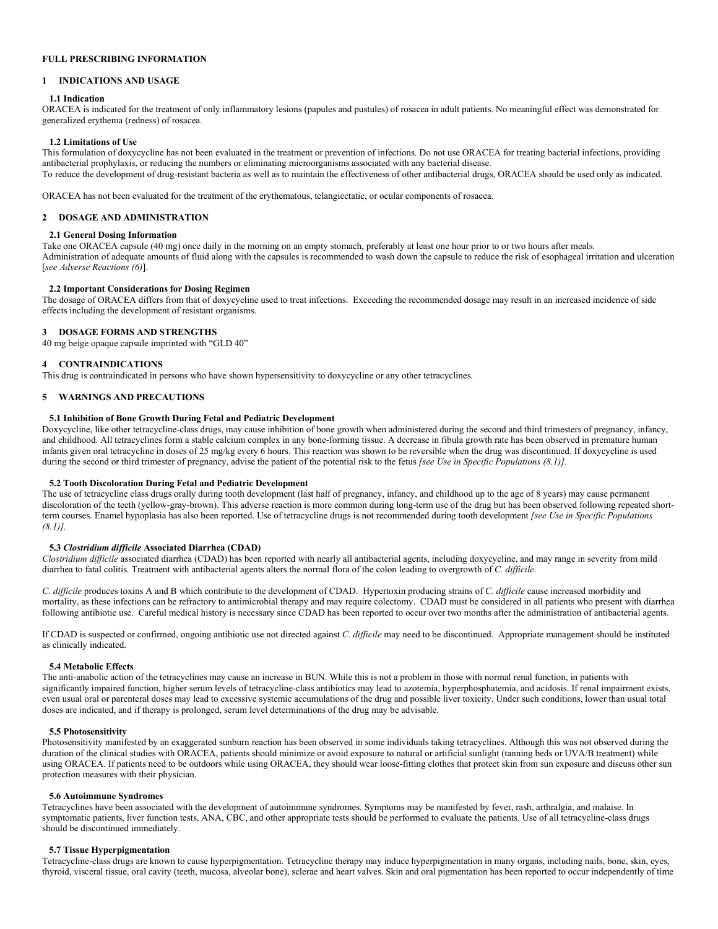## **FULL PRESCRIBING INFORMATION**

## **1 INDICATIONS AND USAGE**

#### **1.1 Indication**

ORACEA is indicated for the treatment of only inflammatory lesions (papules and pustules) of rosacea in adult patients. No meaningful effect was demonstrated for generalized erythema (redness) of rosacea.

#### **1.2 Limitations of Use**

This formulation of doxycycline has not been evaluated in the treatment or prevention of infections. Do not use ORACEA for treating bacterial infections, providing antibacterial prophylaxis, or reducing the numbers or eliminating microorganisms associated with any bacterial disease. To reduce the development of drug-resistant bacteria as well as to maintain the effectiveness of other antibacterial drugs, ORACEA should be used only as indicated.

ORACEA has not been evaluated for the treatment of the erythematous, telangiectatic, or ocular components of rosacea.

#### **2 DOSAGE AND ADMINISTRATION**

#### **2.1 General Dosing Information**

Take one ORACEA capsule (40 mg) once daily in the morning on an empty stomach, preferably at least one hour prior to or two hours after meals. Administration of adequate amounts of fluid along with the capsules is recommended to wash down the capsule to reduce the risk of esophageal irritation and ulceration [*see Adverse Reactions (6)*].

### **2.2 Important Considerations for Dosing Regimen**

The dosage of ORACEA differs from that of doxycycline used to treat infections. Exceeding the recommended dosage may result in an increased incidence of side effects including the development of resistant organisms.

#### **3 DOSAGE FORMS AND STRENGTHS**

40 mg beige opaque capsule imprinted with "GLD 40"

#### **4 CONTRAINDICATIONS**

This drug is contraindicated in persons who have shown hypersensitivity to doxycycline or any other tetracyclines.

#### **5 WARNINGS AND PRECAUTIONS**

### **5.1 Inhibition of Bone Growth During Fetal and Pediatric Development**

Doxycycline, like other tetracycline-class drugs, may cause inhibition of bone growth when administered during the second and third trimesters of pregnancy, infancy, and childhood. All tetracyclines form a stable calcium complex in any bone-forming tissue. A decrease in fibula growth rate has been observed in premature human infants given oral tetracycline in doses of 25 mg/kg every 6 hours. This reaction was shown to be reversible when the drug was discontinued. If doxycycline is used during the second or third trimester of pregnancy, advise the patient of the potential risk to the fetus *[see Use in Specific Populations (8.1)]*.

## **5.2 Tooth Discoloration During Fetal and Pediatric Development**

The use of tetracycline class drugs orally during tooth development (last half of pregnancy, infancy, and childhood up to the age of 8 years) may cause permanent discoloration of the teeth (yellow-gray-brown). This adverse reaction is more common during long-term use of the drug but has been observed following repeated shortterm courses. Enamel hypoplasia has also been reported. Use of tetracycline drugs is not recommended during tooth development *[see Use in Specific Populations (8.1)].*

#### **5.3** *Clostridium difficile* **Associated Diarrhea (CDAD)**

*Clostridium difficile* associated diarrhea (CDAD) has been reported with nearly all antibacterial agents, including doxycycline, and may range in severity from mild diarrhea to fatal colitis. Treatment with antibacterial agents alters the normal flora of the colon leading to overgrowth of *C. difficile*.

*C. difficile* produces toxins A and B which contribute to the development of CDAD. Hypertoxin producing strains of *C. difficile* cause increased morbidity and mortality, as these infections can be refractory to antimicrobial therapy and may require colectomy. CDAD must be considered in all patients who present with diarrhea following antibiotic use. Careful medical history is necessary since CDAD has been reported to occur over two months after the administration of antibacterial agents.

If CDAD is suspected or confirmed, ongoing antibiotic use not directed against *C. difficile* may need to be discontinued. Appropriate management should be instituted as clinically indicated.

#### **5.4 Metabolic Effects**

The anti-anabolic action of the tetracyclines may cause an increase in BUN. While this is not a problem in those with normal renal function, in patients with significantly impaired function, higher serum levels of tetracycline-class antibiotics may lead to azotemia, hyperphosphatemia, and acidosis. If renal impairment exists, even usual oral or parenteral doses may lead to excessive systemic accumulations of the drug and possible liver toxicity. Under such conditions, lower than usual total doses are indicated, and if therapy is prolonged, serum level determinations of the drug may be advisable.

#### **5.5 Photosensitivity**

Photosensitivity manifested by an exaggerated sunburn reaction has been observed in some individuals taking tetracyclines. Although this was not observed during the duration of the clinical studies with ORACEA, patients should minimize or avoid exposure to natural or artificial sunlight (tanning beds or UVA/B treatment) while using ORACEA. If patients need to be outdoors while using ORACEA, they should wear loose-fitting clothes that protect skin from sun exposure and discuss other sun protection measures with their physician.

#### **5.6 Autoimmune Syndromes**

Tetracyclines have been associated with the development of autoimmune syndromes. Symptoms may be manifested by fever, rash, arthralgia, and malaise. In symptomatic patients, liver function tests, ANA, CBC, and other appropriate tests should be performed to evaluate the patients. Use of all tetracycline-class drugs should be discontinued immediately.

#### **5.7 Tissue Hyperpigmentation**

Tetracycline-class drugs are known to cause hyperpigmentation. Tetracycline therapy may induce hyperpigmentation in many organs, including nails, bone, skin, eyes, thyroid, visceral tissue, oral cavity (teeth, mucosa, alveolar bone), sclerae and heart valves. Skin and oral pigmentation has been reported to occur independently of time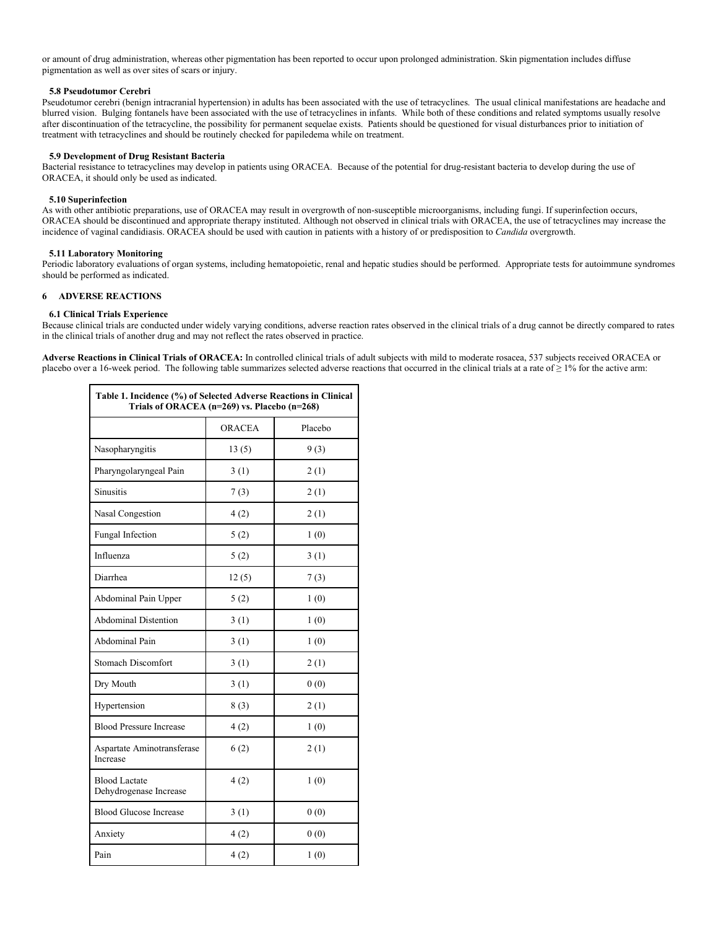or amount of drug administration, whereas other pigmentation has been reported to occur upon prolonged administration. Skin pigmentation includes diffuse pigmentation as well as over sites of scars or injury.

## **5.8 Pseudotumor Cerebri**

Pseudotumor cerebri (benign intracranial hypertension) in adults has been associated with the use of tetracyclines. The usual clinical manifestations are headache and blurred vision. Bulging fontanels have been associated with the use of tetracyclines in infants. While both of these conditions and related symptoms usually resolve after discontinuation of the tetracycline, the possibility for permanent sequelae exists. Patients should be questioned for visual disturbances prior to initiation of treatment with tetracyclines and should be routinely checked for papiledema while on treatment.

#### **5.9 Development of Drug Resistant Bacteria**

Bacterial resistance to tetracyclines may develop in patients using ORACEA. Because of the potential for drug-resistant bacteria to develop during the use of ORACEA, it should only be used as indicated.

#### **5.10 Superinfection**

As with other antibiotic preparations, use of ORACEA may result in overgrowth of non-susceptible microorganisms, including fungi. If superinfection occurs, ORACEA should be discontinued and appropriate therapy instituted. Although not observed in clinical trials with ORACEA, the use of tetracyclines may increase the incidence of vaginal candidiasis. ORACEA should be used with caution in patients with a history of or predisposition to *Candida* overgrowth.

#### **5.11 Laboratory Monitoring**

Periodic laboratory evaluations of organ systems, including hematopoietic, renal and hepatic studies should be performed. Appropriate tests for autoimmune syndromes should be performed as indicated.

#### **6 ADVERSE REACTIONS**

#### **6.1 Clinical Trials Experience**

Because clinical trials are conducted under widely varying conditions, adverse reaction rates observed in the clinical trials of a drug cannot be directly compared to rates in the clinical trials of another drug and may not reflect the rates observed in practice.

**Adverse Reactions in Clinical Trials of ORACEA:** In controlled clinical trials of adult subjects with mild to moderate rosacea, 537 subjects received ORACEA or placebo over a 16-week period. The following table summarizes selected adverse reactions that occurred in the clinical trials at a rate of  $\geq 1\%$  for the active arm:

| Table 1. Incidence (%) of Selected Adverse Reactions in Clinical<br>Trials of ORACEA (n=269) vs. Placebo (n=268) |               |         |  |  |
|------------------------------------------------------------------------------------------------------------------|---------------|---------|--|--|
|                                                                                                                  | <b>ORACEA</b> | Placebo |  |  |
| Nasopharyngitis                                                                                                  | 13(5)         | 9(3)    |  |  |
| Pharyngolaryngeal Pain                                                                                           | 3(1)          | 2(1)    |  |  |
| <b>Sinusitis</b>                                                                                                 | 7(3)          | 2(1)    |  |  |
| Nasal Congestion                                                                                                 | 4(2)          | 2(1)    |  |  |
| Fungal Infection                                                                                                 | 5(2)          | 1(0)    |  |  |
| Influenza                                                                                                        | 5(2)          | 3(1)    |  |  |
| Diarrhea                                                                                                         | 12(5)         | 7(3)    |  |  |
| Abdominal Pain Upper                                                                                             | 5(2)          | 1(0)    |  |  |
| <b>Abdominal Distention</b>                                                                                      | 3(1)          | 1(0)    |  |  |
| Abdominal Pain                                                                                                   | 3(1)          | 1(0)    |  |  |
| <b>Stomach Discomfort</b>                                                                                        | 3(1)          | 2(1)    |  |  |
| Dry Mouth                                                                                                        | 3(1)          | 0(0)    |  |  |
| Hypertension                                                                                                     | 8(3)          | 2(1)    |  |  |
| <b>Blood Pressure Increase</b>                                                                                   | 4(2)          | 1(0)    |  |  |
| Aspartate Aminotransferase<br>Increase                                                                           | 6(2)          | 2(1)    |  |  |
| <b>Blood Lactate</b><br>Dehydrogenase Increase                                                                   | 4(2)          | 1(0)    |  |  |
| <b>Blood Glucose Increase</b>                                                                                    | 3(1)          | 0(0)    |  |  |
| Anxiety                                                                                                          | 4(2)          | 0(0)    |  |  |
| Pain                                                                                                             | 4(2)          | 1(0)    |  |  |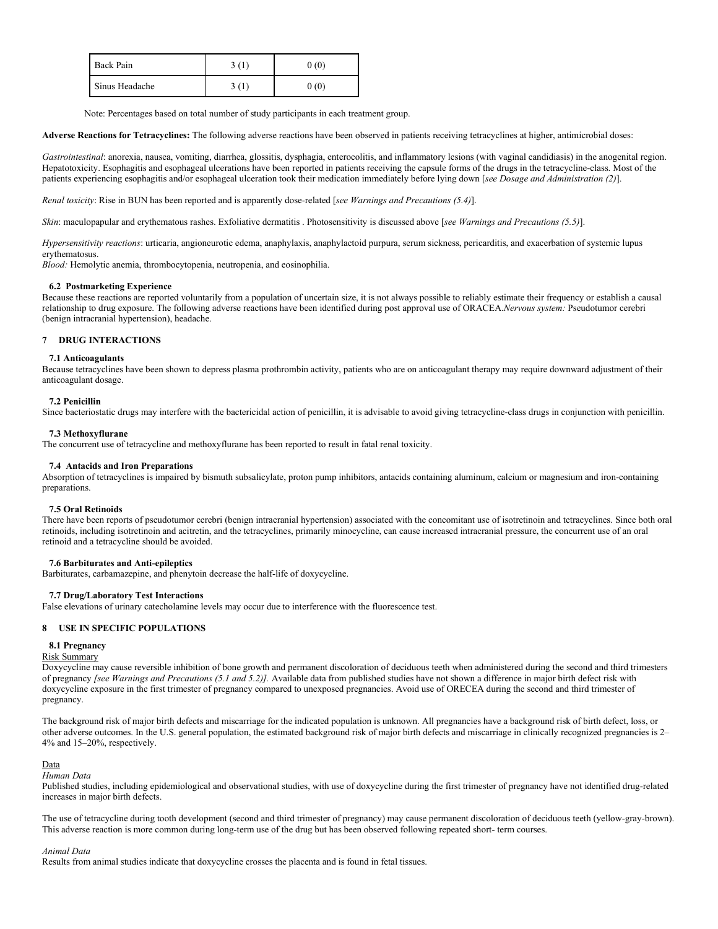| Back Pain      | 3(1) | 0(0) |
|----------------|------|------|
| Sinus Headache | 3(1) | 0(0) |

Note: Percentages based on total number of study participants in each treatment group.

**Adverse Reactions for Tetracyclines:** The following adverse reactions have been observed in patients receiving tetracyclines at higher, antimicrobial doses:

*Gastrointestinal*: anorexia, nausea, vomiting, diarrhea, glossitis, dysphagia, enterocolitis, and inflammatory lesions (with vaginal candidiasis) in the anogenital region. Hepatotoxicity. Esophagitis and esophageal ulcerations have been reported in patients receiving the capsule forms of the drugs in the tetracycline-class. Most of the patients experiencing esophagitis and/or esophageal ulceration took their medication immediately before lying down [*see Dosage and Administration (2)*].

*Renal toxicity*: Rise in BUN has been reported and is apparently dose-related [*see Warnings and Precautions (5.4)*].

*Skin*: maculopapular and erythematous rashes. Exfoliative dermatitis . Photosensitivity is discussed above [*see Warnings and Precautions (5.5)*].

*Hypersensitivity reactions*: urticaria, angioneurotic edema, anaphylaxis, anaphylactoid purpura, serum sickness, pericarditis, and exacerbation of systemic lupus erythematosus.

*Blood:* Hemolytic anemia, thrombocytopenia, neutropenia, and eosinophilia.

## **6.2 Postmarketing Experience**

Because these reactions are reported voluntarily from a population of uncertain size, it is not always possible to reliably estimate their frequency or establish a causal relationship to drug exposure. The following adverse reactions have been identified during post approval use of ORACEA.*Nervous system:* Pseudotumor cerebri (benign intracranial hypertension), headache.

## **7 DRUG INTERACTIONS**

#### **7.1 Anticoagulants**

Because tetracyclines have been shown to depress plasma prothrombin activity, patients who are on anticoagulant therapy may require downward adjustment of their anticoagulant dosage.

## **7.2 Penicillin**

Since bacteriostatic drugs may interfere with the bactericidal action of penicillin, it is advisable to avoid giving tetracycline-class drugs in conjunction with penicillin.

## **7.3 Methoxyflurane**

The concurrent use of tetracycline and methoxyflurane has been reported to result in fatal renal toxicity.

#### **7.4 Antacids and Iron Preparations**

Absorption of tetracyclines is impaired by bismuth subsalicylate, proton pump inhibitors, antacids containing aluminum, calcium or magnesium and iron-containing preparations.

### **7.5 Oral Retinoids**

There have been reports of pseudotumor cerebri (benign intracranial hypertension) associated with the concomitant use of isotretinoin and tetracyclines. Since both oral retinoids, including isotretinoin and acitretin, and the tetracyclines, primarily minocycline, can cause increased intracranial pressure, the concurrent use of an oral retinoid and a tetracycline should be avoided.

#### **7.6 Barbiturates and Anti-epileptics**

Barbiturates, carbamazepine, and phenytoin decrease the half-life of doxycycline.

#### **7.7 Drug/Laboratory Test Interactions**

False elevations of urinary catecholamine levels may occur due to interference with the fluorescence test.

## **8 USE IN SPECIFIC POPULATIONS**

#### **8.1 Pregnancy**

## Risk Summary

Doxycycline may cause reversible inhibition of bone growth and permanent discoloration of deciduous teeth when administered during the second and third trimesters of pregnancy *[see Warnings and Precautions (5.1 and 5.2)].* Available data from published studies have not shown a difference in major birth defect risk with doxycycline exposure in the first trimester of pregnancy compared to unexposed pregnancies. Avoid use of ORECEA during the second and third trimester of pregnancy.

The background risk of major birth defects and miscarriage for the indicated population is unknown. All pregnancies have a background risk of birth defect, loss, or other adverse outcomes. In the U.S. general population, the estimated background risk of major birth defects and miscarriage in clinically recognized pregnancies is 2– 4% and 15–20%, respectively.

#### Data

*Human Data*

Published studies, including epidemiological and observational studies, with use of doxycycline during the first trimester of pregnancy have not identified drug-related increases in major birth defects.

The use of tetracycline during tooth development (second and third trimester of pregnancy) may cause permanent discoloration of deciduous teeth (yellow-gray-brown). This adverse reaction is more common during long-term use of the drug but has been observed following repeated short- term courses.

#### *Animal Data*

Results from animal studies indicate that doxycycline crosses the placenta and is found in fetal tissues.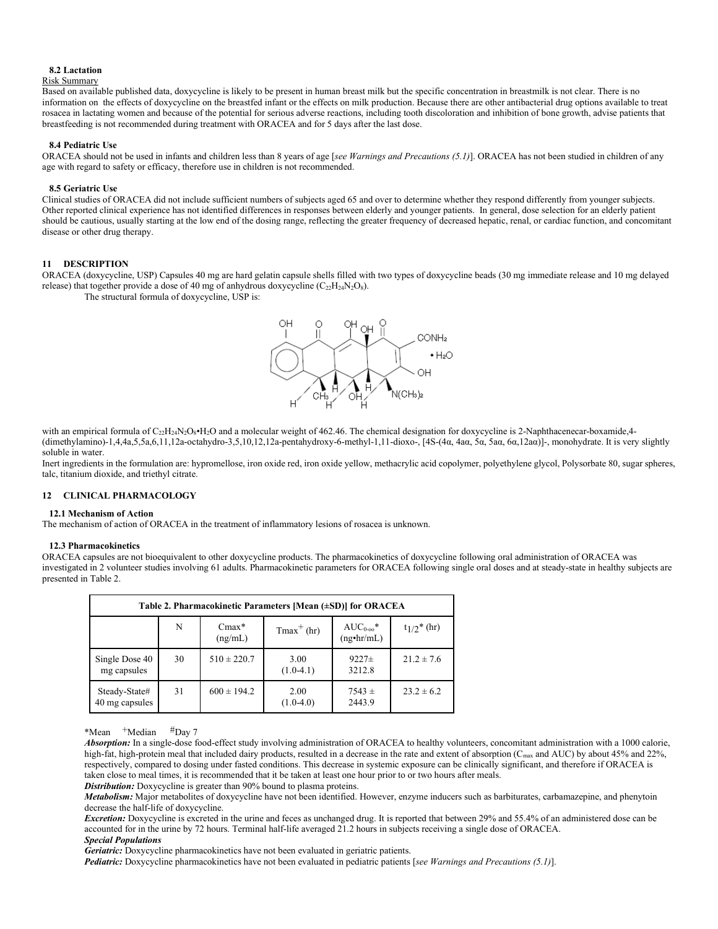#### **8.2 Lactation**

#### Risk Summary

Based on available published data, doxycycline is likely to be present in human breast milk but the specific concentration in breastmilk is not clear. There is no information on the effects of doxycycline on the breastfed infant or the effects on milk production. Because there are other antibacterial drug options available to treat rosacea in lactating women and because of the potential for serious adverse reactions, including tooth discoloration and inhibition of bone growth, advise patients that breastfeeding is not recommended during treatment with ORACEA and for 5 days after the last dose.

## **8.4 Pediatric Use**

ORACEA should not be used in infants and children less than 8 years of age [*see Warnings and Precautions (5.1)*]. ORACEA has not been studied in children of any age with regard to safety or efficacy, therefore use in children is not recommended.

#### **8.5 Geriatric Use**

Clinical studies of ORACEA did not include sufficient numbers of subjects aged 65 and over to determine whether they respond differently from younger subjects. Other reported clinical experience has not identified differences in responses between elderly and younger patients. In general, dose selection for an elderly patient should be cautious, usually starting at the low end of the dosing range, reflecting the greater frequency of decreased hepatic, renal, or cardiac function, and concomitant disease or other drug therapy.

## **11 DESCRIPTION**

ORACEA (doxycycline, USP) Capsules 40 mg are hard gelatin capsule shells filled with two types of doxycycline beads (30 mg immediate release and 10 mg delayed release) that together provide a dose of 40 mg of anhydrous doxycycline  $(C_{22}H_{24}N_2O_8)$ .

The structural formula of doxycycline, USP is:



with an empirical formula of  $C_{22}H_{24}N_2O_8\cdot H_2O$  and a molecular weight of 462.46. The chemical designation for doxycycline is 2-Naphthacenecar-boxamide, 4-(dimethylamino)-1,4,4a,5,5a,6,11,12a-octahydro-3,5,10,12,12a-pentahydroxy-6-methyl-1,11-dioxo-, [4S-(4α, 4aα, 5α, 5aα, 6α,12aα)]-, monohydrate. It is very slightly soluble in water.

Inert ingredients in the formulation are: hypromellose, iron oxide red, iron oxide yellow, methacrylic acid copolymer, polyethylene glycol, Polysorbate 80, sugar spheres, talc, titanium dioxide, and triethyl citrate.

## **12 CLINICAL PHARMACOLOGY**

#### **12.1 Mechanism of Action**

The mechanism of action of ORACEA in the treatment of inflammatory lesions of rosacea is unknown.

#### **12.3 Pharmacokinetics**

ORACEA capsules are not bioequivalent to other doxycycline products. The pharmacokinetics of doxycycline following oral administration of ORACEA was investigated in 2 volunteer studies involving 61 adults. Pharmacokinetic parameters for ORACEA following single oral doses and at steady-state in healthy subjects are presented in Table 2.

| Table 2. Pharmacokinetic Parameters [Mean (±SD)] for ORACEA |    |                    |                     |                                         |                |  |  |
|-------------------------------------------------------------|----|--------------------|---------------------|-----------------------------------------|----------------|--|--|
|                                                             | N  | $Cmax*$<br>(ng/mL) | $Tmax+ (hr)$        | $AUC_{0-\infty}$ *<br>$(ng\cdot hr/mL)$ | $t_1/2^*$ (hr) |  |  |
| Single Dose 40<br>mg capsules                               | 30 | $510 \pm 220.7$    | 3.00<br>$(1.0-4.1)$ | $9227 \pm$<br>3212.8                    | $21.2 \pm 7.6$ |  |  |
| Steady-State#<br>40 mg capsules                             | 31 | $600 \pm 194.2$    | 2.00<br>$(1.0-4.0)$ | $7543 \pm$<br>2443.9                    | $23.2 \pm 6.2$ |  |  |

\*Mean +Median #Day 7

*Absorption:* In a single-dose food-effect study involving administration of ORACEA to healthy volunteers, concomitant administration with a 1000 calorie, high-fat, high-protein meal that included dairy products, resulted in a decrease in the rate and extent of absorption (C<sub>max</sub> and AUC) by about 45% and 22%, respectively, compared to dosing under fasted conditions. This decrease in systemic exposure can be clinically significant, and therefore if ORACEA is taken close to meal times, it is recommended that it be taken at least one hour prior to or two hours after meals.

*Distribution:* Doxycycline is greater than 90% bound to plasma proteins.

*Metabolism:* Major metabolites of doxycycline have not been identified. However, enzyme inducers such as barbiturates, carbamazepine, and phenytoin decrease the half-life of doxycycline.

*Excretion:* Doxycycline is excreted in the urine and feces as unchanged drug. It is reported that between 29% and 55.4% of an administered dose can be accounted for in the urine by 72 hours. Terminal half-life averaged 21.2 hours in subjects receiving a single dose of ORACEA. *Special Populations*

*Geriatric:* Doxycycline pharmacokinetics have not been evaluated in geriatric patients.

*Pediatric:* Doxycycline pharmacokinetics have not been evaluated in pediatric patients [*see Warnings and Precautions (5.1)*].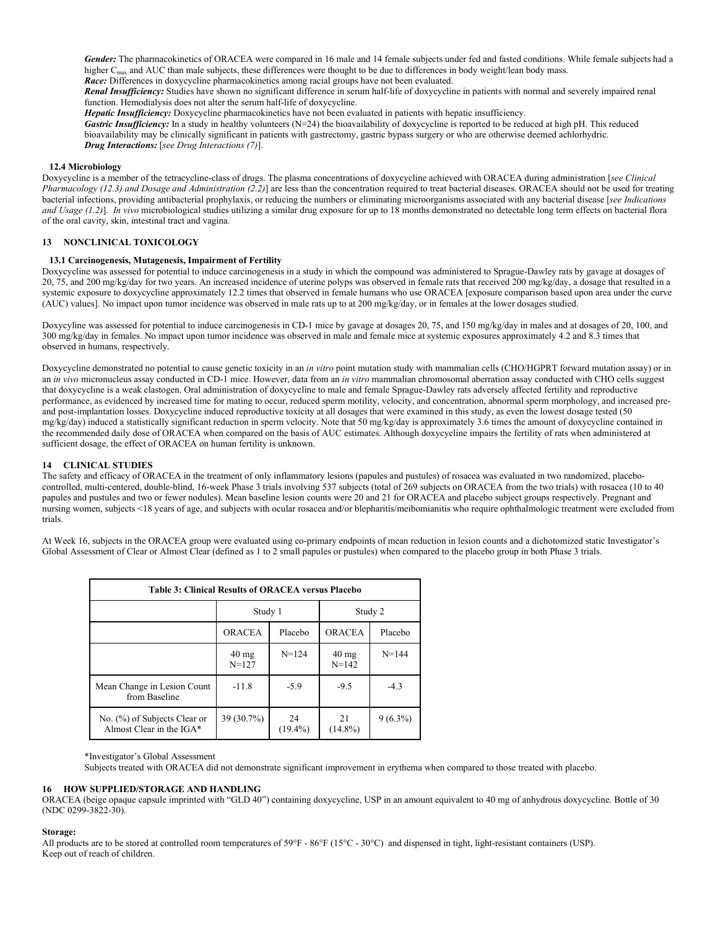*Gender:* The pharmacokinetics of ORACEA were compared in 16 male and 14 female subjects under fed and fasted conditions. While female subjects had a higher C<sub>max</sub> and AUC than male subjects, these differences were thought to be due to differences in body weight/lean body mass. *Race:* Differences in doxycycline pharmacokinetics among racial groups have not been evaluated.

*Renal Insufficiency:* Studies have shown no significant difference in serum half-life of doxycycline in patients with normal and severely impaired renal function. Hemodialysis does not alter the serum half-life of doxycycline.

*Hepatic Insufficiency:* Doxycycline pharmacokinetics have not been evaluated in patients with hepatic insufficiency.

*Gastric Insufficiency:* In a study in healthy volunteers (N=24) the bioavailability of doxycycline is reported to be reduced at high pH. This reduced bioavailability may be clinically significant in patients with gastrectomy, gastric bypass surgery or who are otherwise deemed achlorhydric. *Drug Interactions:* [*see Drug Interactions (7)*].

### **12.4 Microbiology**

Doxycycline is a member of the tetracycline-class of drugs. The plasma concentrations of doxycycline achieved with ORACEA during administration [*see Clinical Pharmacology (12.3) and Dosage and Administration (2.2)*] are less than the concentration required to treat bacterial diseases. ORACEA should not be used for treating bacterial infections, providing antibacterial prophylaxis, or reducing the numbers or eliminating microorganisms associated with any bacterial disease [*see Indications and Usage (1.2)*]. *In vivo* microbiological studies utilizing a similar drug exposure for up to 18 months demonstrated no detectable long term effects on bacterial flora of the oral cavity, skin, intestinal tract and vagina.

## **13 NONCLINICAL TOXICOLOGY**

## **13.1 Carcinogenesis, Mutagenesis, Impairment of Fertility**

Doxycycline was assessed for potential to induce carcinogenesis in a study in which the compound was administered to Sprague-Dawley rats by gavage at dosages of 20, 75, and 200 mg/kg/day for two years. An increased incidence of uterine polyps was observed in female rats that received 200 mg/kg/day, a dosage that resulted in a systemic exposure to doxycycline approximately 12.2 times that observed in female humans who use ORACEA [exposure comparison based upon area under the curve (AUC) values]. No impact upon tumor incidence was observed in male rats up to at 200 mg/kg/day, or in females at the lower dosages studied.

Doxycyline was assessed for potential to induce carcinogenesis in CD-1 mice by gavage at dosages 20, 75, and 150 mg/kg/day in males and at dosages of 20, 100, and 300 mg/kg/day in females. No impact upon tumor incidence was observed in male and female mice at systemic exposures approximately 4.2 and 8.3 times that observed in humans, respectively.

Doxycycline demonstrated no potential to cause genetic toxicity in an *in vitro* point mutation study with mammalian cells (CHO/HGPRT forward mutation assay) or in an *in vivo* micronucleus assay conducted in CD-1 mice. However, data from an *in vitro* mammalian chromosomal aberration assay conducted with CHO cells suggest that doxycycline is a weak clastogen. Oral administration of doxycycline to male and female Sprague-Dawley rats adversely affected fertility and reproductive performance, as evidenced by increased time for mating to occur, reduced sperm motility, velocity, and concentration, abnormal sperm morphology, and increased preand post-implantation losses. Doxycycline induced reproductive toxicity at all dosages that were examined in this study, as even the lowest dosage tested (50 mg/kg/day) induced a statistically significant reduction in sperm velocity. Note that 50 mg/kg/day is approximately 3.6 times the amount of doxycycline contained in the recommended daily dose of ORACEA when compared on the basis of AUC estimates. Although doxycycline impairs the fertility of rats when administered at sufficient dosage, the effect of ORACEA on human fertility is unknown.

## **14 CLINICAL STUDIES**

The safety and efficacy of ORACEA in the treatment of only inflammatory lesions (papules and pustules) of rosacea was evaluated in two randomized, placebocontrolled, multi-centered, double-blind, 16-week Phase 3 trials involving 537 subjects (total of 269 subjects on ORACEA from the two trials) with rosacea (10 to 40 papules and pustules and two or fewer nodules). Mean baseline lesion counts were 20 and 21 for ORACEA and placebo subject groups respectively. Pregnant and nursing women, subjects <18 years of age, and subjects with ocular rosacea and/or blepharitis/meibomianitis who require ophthalmologic treatment were excluded from trials.

At Week 16, subjects in the ORACEA group were evaluated using co-primary endpoints of mean reduction in lesion counts and a dichotomized static Investigator's Global Assessment of Clear or Almost Clear (defined as 1 to 2 small papules or pustules) when compared to the placebo group in both Phase 3 trials.

| Table 3: Clinical Results of ORACEA versus Placebo       |                              |                  |                              |            |  |  |  |
|----------------------------------------------------------|------------------------------|------------------|------------------------------|------------|--|--|--|
|                                                          | Study 1                      |                  | Study 2                      |            |  |  |  |
|                                                          | ORACEA                       | Placebo          | ORACEA                       | Placebo    |  |  |  |
|                                                          | $40 \text{ mg}$<br>$N = 127$ | $N = 124$        | $40 \text{ mg}$<br>$N = 142$ | $N = 144$  |  |  |  |
| Mean Change in Lesion Count<br>from Baseline             | $-11.8$                      | $-5.9$           | $-9.5$                       | $-4.3$     |  |  |  |
| No. (%) of Subjects Clear or<br>Almost Clear in the IGA* | 39 (30.7%)                   | 24<br>$(19.4\%)$ | 21<br>$(14.8\%)$             | $9(6.3\%)$ |  |  |  |

#### \*Investigator's Global Assessment

Subjects treated with ORACEA did not demonstrate significant improvement in erythema when compared to those treated with placebo.

## **16 HOW SUPPLIED/STORAGE AND HANDLING**

ORACEA (beige opaque capsule imprinted with "GLD 40") containing doxycycline, USP in an amount equivalent to 40 mg of anhydrous doxycycline. Bottle of 30 (NDC 0299-3822-30).

#### **Storage:**

All products are to be stored at controlled room temperatures of 59°F - 86°F (15°C - 30°C) and dispensed in tight, light-resistant containers (USP). Keep out of reach of children.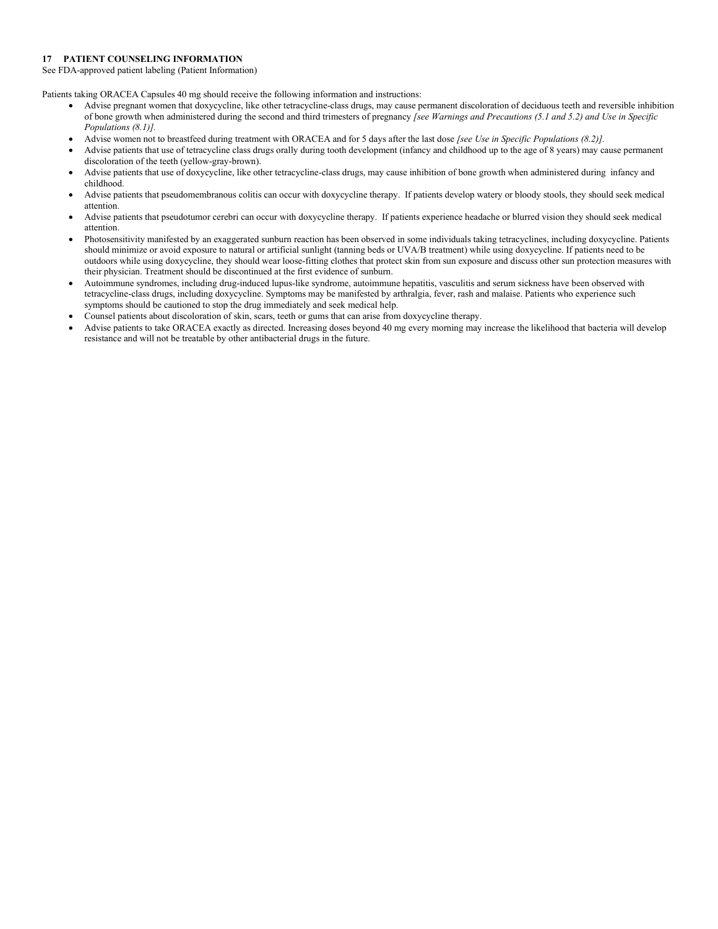## **17 PATIENT COUNSELING INFORMATION**

See FDA-approved patient labeling (Patient Information)

Patients taking ORACEA Capsules 40 mg should receive the following information and instructions:

- Advise pregnant women that doxycycline, like other tetracycline-class drugs, may cause permanent discoloration of deciduous teeth and reversible inhibition of bone growth when administered during the second and third trimesters of pregnancy *[see Warnings and Precautions (5.1 and 5.2) and Use in Specific Populations (8.1)].*
- Advise women not to breastfeed during treatment with ORACEA and for 5 days after the last dose *[see Use in Specific Populations (8.2)].*
- Advise patients that use of tetracycline class drugs orally during tooth development (infancy and childhood up to the age of 8 years) may cause permanent discoloration of the teeth (yellow-gray-brown).
- Advise patients that use of doxycycline, like other tetracycline-class drugs, may cause inhibition of bone growth when administered during infancy and childhood.
- Advise patients that pseudomembranous colitis can occur with doxycycline therapy. If patients develop watery or bloody stools, they should seek medical attention.
- Advise patients that pseudotumor cerebri can occur with doxycycline therapy. If patients experience headache or blurred vision they should seek medical attention.
- Photosensitivity manifested by an exaggerated sunburn reaction has been observed in some individuals taking tetracyclines, including doxycycline. Patients should minimize or avoid exposure to natural or artificial sunlight (tanning beds or UVA/B treatment) while using doxycycline. If patients need to be outdoors while using doxycycline, they should wear loose-fitting clothes that protect skin from sun exposure and discuss other sun protection measures with their physician. Treatment should be discontinued at the first evidence of sunburn.
- Autoimmune syndromes, including drug-induced lupus-like syndrome, autoimmune hepatitis, vasculitis and serum sickness have been observed with tetracycline-class drugs, including doxycycline. Symptoms may be manifested by arthralgia, fever, rash and malaise. Patients who experience such symptoms should be cautioned to stop the drug immediately and seek medical help.
- Counsel patients about discoloration of skin, scars, teeth or gums that can arise from doxycycline therapy.
- Advise patients to take ORACEA exactly as directed. Increasing doses beyond 40 mg every morning may increase the likelihood that bacteria will develop resistance and will not be treatable by other antibacterial drugs in the future.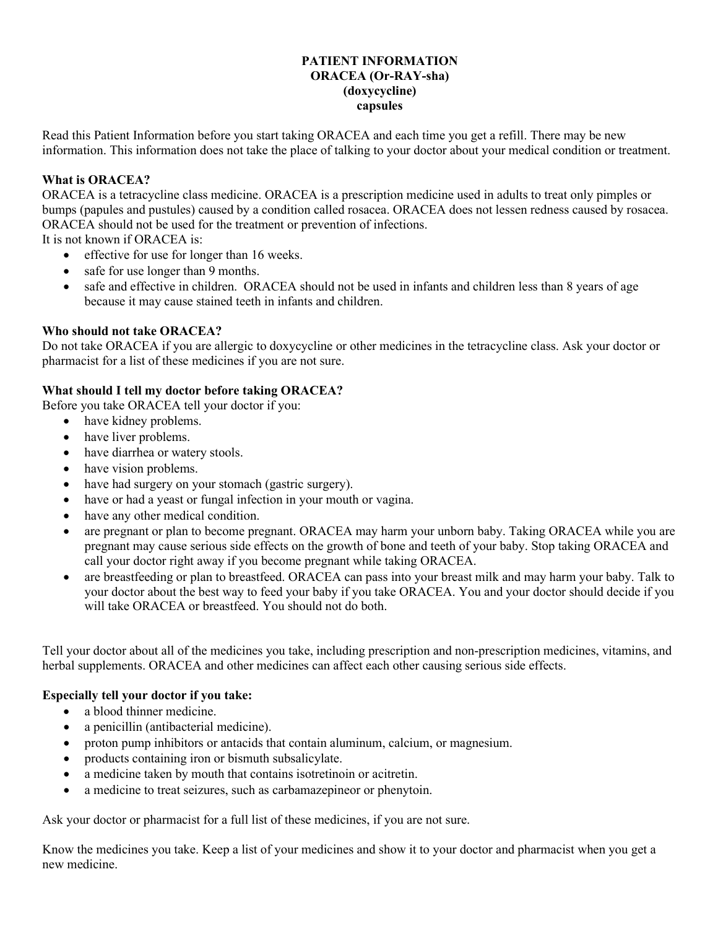# **PATIENT INFORMATION ORACEA (Or-RAY-sha) (doxycycline) capsules**

Read this Patient Information before you start taking ORACEA and each time you get a refill. There may be new information. This information does not take the place of talking to your doctor about your medical condition or treatment.

# **What is ORACEA?**

ORACEA is a tetracycline class medicine. ORACEA is a prescription medicine used in adults to treat only pimples or bumps (papules and pustules) caused by a condition called rosacea. ORACEA does not lessen redness caused by rosacea. ORACEA should not be used for the treatment or prevention of infections.

It is not known if ORACEA is:

- effective for use for longer than 16 weeks.
- safe for use longer than 9 months.
- safe and effective in children. ORACEA should not be used in infants and children less than 8 years of age because it may cause stained teeth in infants and children.

# **Who should not take ORACEA?**

Do not take ORACEA if you are allergic to doxycycline or other medicines in the tetracycline class. Ask your doctor or pharmacist for a list of these medicines if you are not sure.

# **What should I tell my doctor before taking ORACEA?**

Before you take ORACEA tell your doctor if you:

- have kidney problems.
- have liver problems.
- have diarrhea or watery stools.
- have vision problems.
- have had surgery on your stomach (gastric surgery).
- have or had a yeast or fungal infection in your mouth or vagina.
- have any other medical condition.
- are pregnant or plan to become pregnant. ORACEA may harm your unborn baby. Taking ORACEA while you are pregnant may cause serious side effects on the growth of bone and teeth of your baby. Stop taking ORACEA and call your doctor right away if you become pregnant while taking ORACEA.
- are breastfeeding or plan to breastfeed. ORACEA can pass into your breast milk and may harm your baby. Talk to your doctor about the best way to feed your baby if you take ORACEA. You and your doctor should decide if you will take ORACEA or breastfeed. You should not do both.

Tell your doctor about all of the medicines you take, including prescription and non-prescription medicines, vitamins, and herbal supplements. ORACEA and other medicines can affect each other causing serious side effects.

# **Especially tell your doctor if you take:**

- a blood thinner medicine.
- a penicillin (antibacterial medicine).
- proton pump inhibitors or antacids that contain aluminum, calcium, or magnesium.
- products containing iron or bismuth subsalicylate.
- a medicine taken by mouth that contains isotretinoin or acitretin.
- a medicine to treat seizures, such as carbamazepineor or phenytoin.

Ask your doctor or pharmacist for a full list of these medicines, if you are not sure.

Know the medicines you take. Keep a list of your medicines and show it to your doctor and pharmacist when you get a new medicine.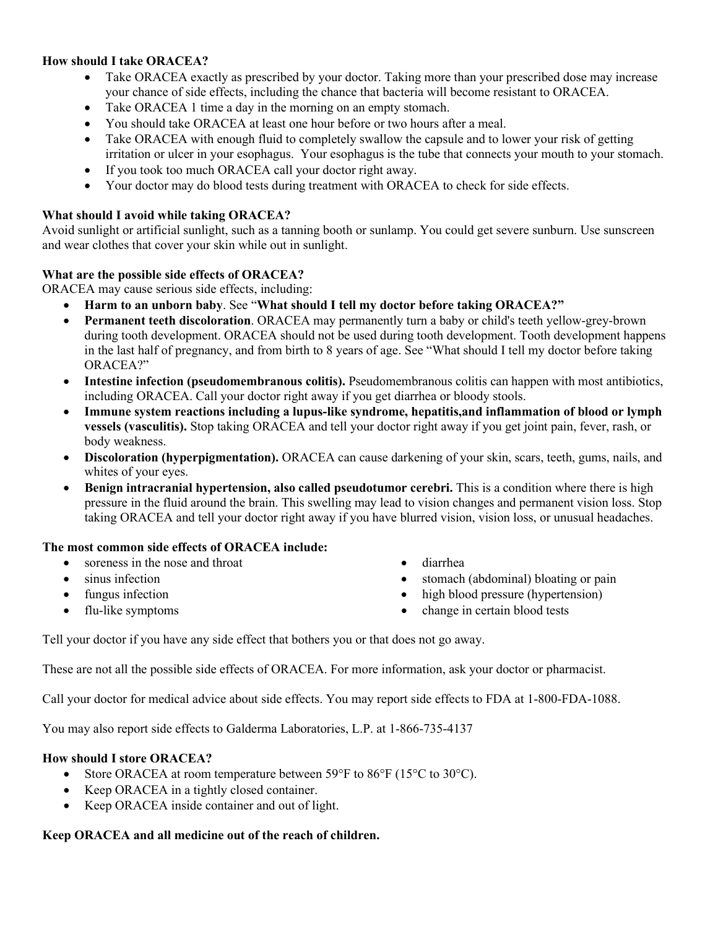# **How should I take ORACEA?**

- Take ORACEA exactly as prescribed by your doctor. Taking more than your prescribed dose may increase your chance of side effects, including the chance that bacteria will become resistant to ORACEA.
- Take ORACEA 1 time a day in the morning on an empty stomach.
- You should take ORACEA at least one hour before or two hours after a meal.
- Take ORACEA with enough fluid to completely swallow the capsule and to lower your risk of getting irritation or ulcer in your esophagus. Your esophagus is the tube that connects your mouth to your stomach.
- If you took too much ORACEA call your doctor right away.
- Your doctor may do blood tests during treatment with ORACEA to check for side effects.

# **What should I avoid while taking ORACEA?**

Avoid sunlight or artificial sunlight, such as a tanning booth or sunlamp. You could get severe sunburn. Use sunscreen and wear clothes that cover your skin while out in sunlight.

# **What are the possible side effects of ORACEA?**

ORACEA may cause serious side effects, including:

- **Harm to an unborn baby**. See "**What should I tell my doctor before taking ORACEA?"**
- **Permanent teeth discoloration**. ORACEA may permanently turn a baby or child's teeth yellow-grey-brown during tooth development. ORACEA should not be used during tooth development. Tooth development happens in the last half of pregnancy, and from birth to 8 years of age. See "What should I tell my doctor before taking ORACEA?"
- **Intestine infection (pseudomembranous colitis).** Pseudomembranous colitis can happen with most antibiotics, including ORACEA. Call your doctor right away if you get diarrhea or bloody stools.
- **Immune system reactions including a lupus-like syndrome, hepatitis,and inflammation of blood or lymph vessels (vasculitis).** Stop taking ORACEA and tell your doctor right away if you get joint pain, fever, rash, or body weakness.
- **Discoloration (hyperpigmentation).** ORACEA can cause darkening of your skin, scars, teeth, gums, nails, and whites of your eyes.
- **Benign intracranial hypertension, also called pseudotumor cerebri.** This is a condition where there is high pressure in the fluid around the brain. This swelling may lead to vision changes and permanent vision loss. Stop taking ORACEA and tell your doctor right away if you have blurred vision, vision loss, or unusual headaches.

# **The most common side effects of ORACEA include:**

- soreness in the nose and throat
- sinus infection
- fungus infection
- flu-like symptoms
- diarrhea
- stomach (abdominal) bloating or pain
- high blood pressure (hypertension)
- change in certain blood tests

Tell your doctor if you have any side effect that bothers you or that does not go away.

These are not all the possible side effects of ORACEA. For more information, ask your doctor or pharmacist.

Call your doctor for medical advice about side effects. You may report side effects to FDA at 1-800-FDA-1088.

You may also report side effects to Galderma Laboratories, L.P. at 1-866-735-4137

# **How should I store ORACEA?**

- Store ORACEA at room temperature between 59°F to 86°F (15°C to 30°C).
- Keep ORACEA in a tightly closed container.
- Keep ORACEA inside container and out of light.

# **Keep ORACEA and all medicine out of the reach of children.**